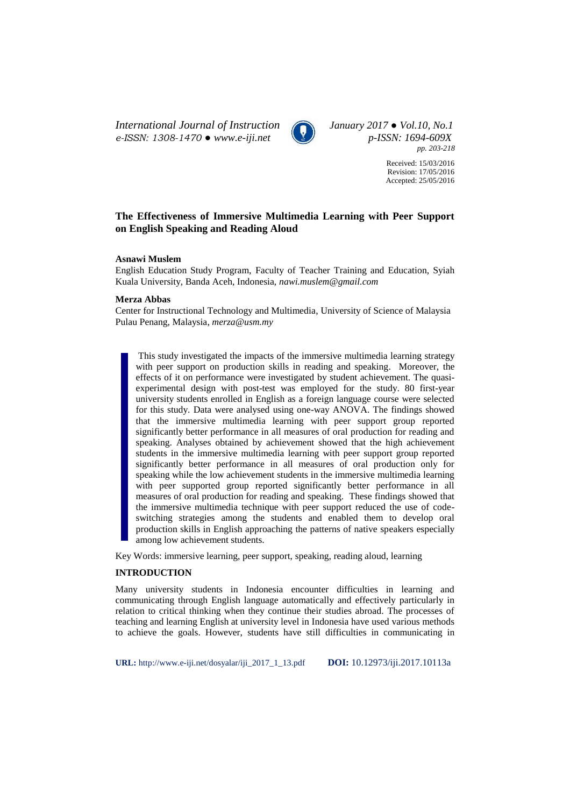*International Journal of Instruction January 2017 ● Vol.10, No.1 e-ISSN: 1308-1470 ● www.e-iji.net p-ISSN: 1694-609X*



*pp. 203-218*

Received: 15/03/2016 Revision: 17/05/2016 Accepted: 25/05/2016

# **The Effectiveness of Immersive Multimedia Learning with Peer Support on English Speaking and Reading Aloud**

### **Asnawi Muslem**

English Education Study Program, Faculty of Teacher Training and Education, Syiah Kuala University, Banda Aceh, Indonesia, *nawi.muslem@gmail.com*

### **Merza Abbas**

Center for Instructional Technology and Multimedia, University of Science of Malaysia Pulau Penang, Malaysia, *merza@usm.my*

This study investigated the impacts of the immersive multimedia learning strategy with peer support on production skills in reading and speaking. Moreover, the effects of it on performance were investigated by student achievement. The quasiexperimental design with post-test was employed for the study. 80 first-year university students enrolled in English as a foreign language course were selected for this study. Data were analysed using one-way ANOVA. The findings showed that the immersive multimedia learning with peer support group reported significantly better performance in all measures of oral production for reading and speaking. Analyses obtained by achievement showed that the high achievement students in the immersive multimedia learning with peer support group reported significantly better performance in all measures of oral production only for speaking while the low achievement students in the immersive multimedia learning with peer supported group reported significantly better performance in all measures of oral production for reading and speaking. These findings showed that the immersive multimedia technique with peer support reduced the use of codeswitching strategies among the students and enabled them to develop oral production skills in English approaching the patterns of native speakers especially among low achievement students.

Key Words: immersive learning, peer support, speaking, reading aloud, learning

## **INTRODUCTION**

Many university students in Indonesia encounter difficulties in learning and communicating through English language automatically and effectively particularly in relation to critical thinking when they continue their studies abroad. The processes of teaching and learning English at university level in Indonesia have used various methods to achieve the goals. However, students have still difficulties in communicating in

**URL:** http://www.e-iji.net/dosyalar/iji\_2017\_1\_13.pdf **DOI:** 10.12973/iji.2017.10113a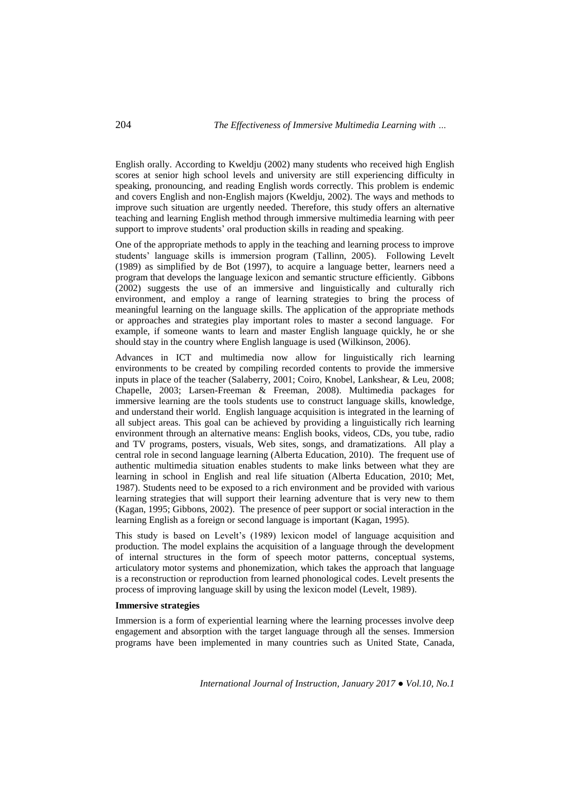English orally. According to Kweldju (2002) many students who received high English scores at senior high school levels and university are still experiencing difficulty in speaking, pronouncing, and reading English words correctly. This problem is endemic and covers English and non-English majors (Kweldju, 2002). The ways and methods to improve such situation are urgently needed. Therefore, this study offers an alternative teaching and learning English method through immersive multimedia learning with peer support to improve students' oral production skills in reading and speaking.

One of the appropriate methods to apply in the teaching and learning process to improve students' language skills is immersion program (Tallinn, 2005). Following Levelt (1989) as simplified by de Bot (1997), to acquire a language better, learners need a program that develops the language lexicon and semantic structure efficiently. Gibbons (2002) suggests the use of an immersive and linguistically and culturally rich environment, and employ a range of learning strategies to bring the process of meaningful learning on the language skills. The application of the appropriate methods or approaches and strategies play important roles to master a second language. For example, if someone wants to learn and master English language quickly, he or she should stay in the country where English language is used (Wilkinson, 2006).

Advances in ICT and multimedia now allow for linguistically rich learning environments to be created by compiling recorded contents to provide the immersive inputs in place of the teacher (Salaberry, 2001; Coiro, Knobel, Lankshear, & Leu, 2008; Chapelle, 2003; Larsen-Freeman & Freeman, 2008). Multimedia packages for immersive learning are the tools students use to construct language skills, knowledge, and understand their world. English language acquisition is integrated in the learning of all subject areas. This goal can be achieved by providing a linguistically rich learning environment through an alternative means: English books, videos, CDs, you tube, radio and TV programs, posters, visuals, Web sites, songs, and dramatizations. All play a central role in second language learning (Alberta Education, 2010). The frequent use of authentic multimedia situation enables students to make links between what they are learning in school in English and real life situation (Alberta Education, 2010; Met, 1987). Students need to be exposed to a rich environment and be provided with various learning strategies that will support their learning adventure that is very new to them (Kagan, 1995; Gibbons, 2002). The presence of peer support or social interaction in the learning English as a foreign or second language is important (Kagan, 1995).

This study is based on Levelt's (1989) lexicon model of language acquisition and production. The model explains the acquisition of a language through the development of internal structures in the form of speech motor patterns, conceptual systems, articulatory motor systems and phonemization, which takes the approach that language is a reconstruction or reproduction from learned phonological codes. Levelt presents the process of improving language skill by using the lexicon model (Levelt, 1989).

## **Immersive strategies**

Immersion is a form of experiential learning where the learning processes involve deep engagement and absorption with the target language through all the senses. Immersion programs have been implemented in many countries such as United State, Canada,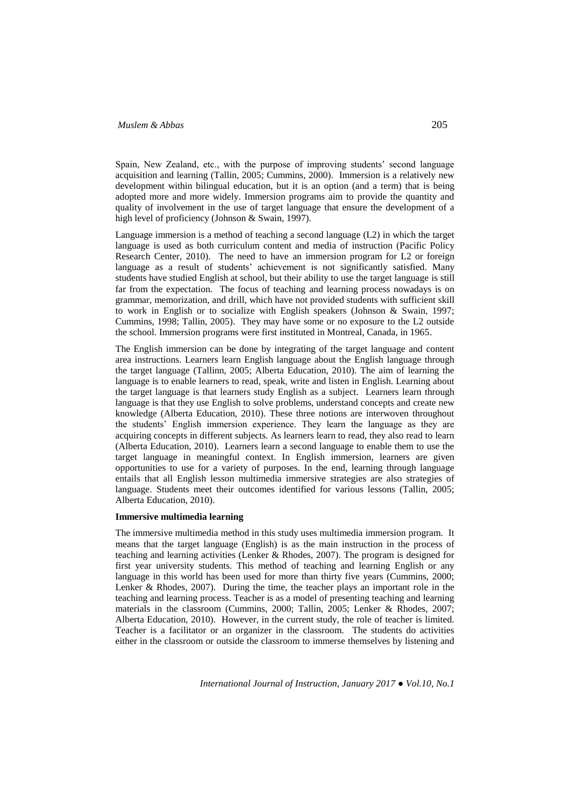Spain, New Zealand, etc., with the purpose of improving students' second language acquisition and learning (Tallin, 2005; Cummins, 2000). Immersion is a relatively new development within bilingual education, but it is an option (and a term) that is being adopted more and more widely. Immersion programs aim to provide the quantity and quality of involvement in the use of target language that ensure the development of a high level of proficiency (Johnson & Swain, 1997).

Language immersion is a method of teaching a second language (L2) in which the target language is used as both curriculum content and media of instruction (Pacific Policy Research Center, 2010). The need to have an immersion program for L2 or foreign language as a result of students' achievement is not significantly satisfied. Many students have studied English at school, but their ability to use the target language is still far from the expectation. The focus of teaching and learning process nowadays is on grammar, memorization, and drill, which have not provided students with sufficient skill to work in English or to socialize with English speakers (Johnson & Swain, 1997; Cummins, 1998; Tallin, 2005). They may have some or no exposure to the L2 outside the school. Immersion programs were first instituted in Montreal, Canada, in 1965.

The English immersion can be done by integrating of the target language and content area instructions. Learners learn English language about the English language through the target language (Tallinn, 2005; Alberta Education, 2010). The aim of learning the language is to enable learners to read, speak, write and listen in English. Learning about the target language is that learners study English as a subject. Learners learn through language is that they use English to solve problems, understand concepts and create new knowledge (Alberta Education, 2010). These three notions are interwoven throughout the students' English immersion experience. They learn the language as they are acquiring concepts in different subjects. As learners learn to read, they also read to learn (Alberta Education, 2010). Learners learn a second language to enable them to use the target language in meaningful context. In English immersion, learners are given opportunities to use for a variety of purposes. In the end, learning through language entails that all English lesson multimedia immersive strategies are also strategies of language. Students meet their outcomes identified for various lessons (Tallin, 2005; Alberta Education, 2010).

#### **Immersive multimedia learning**

The immersive multimedia method in this study uses multimedia immersion program. It means that the target language (English) is as the main instruction in the process of teaching and learning activities (Lenker & Rhodes, 2007). The program is designed for first year university students. This method of teaching and learning English or any language in this world has been used for more than thirty five years (Cummins, 2000; Lenker & Rhodes, 2007). During the time, the teacher plays an important role in the teaching and learning process. Teacher is as a model of presenting teaching and learning materials in the classroom (Cummins, 2000; Tallin, 2005; Lenker & Rhodes, 2007; Alberta Education, 2010). However, in the current study, the role of teacher is limited. Teacher is a facilitator or an organizer in the classroom. The students do activities either in the classroom or outside the classroom to immerse themselves by listening and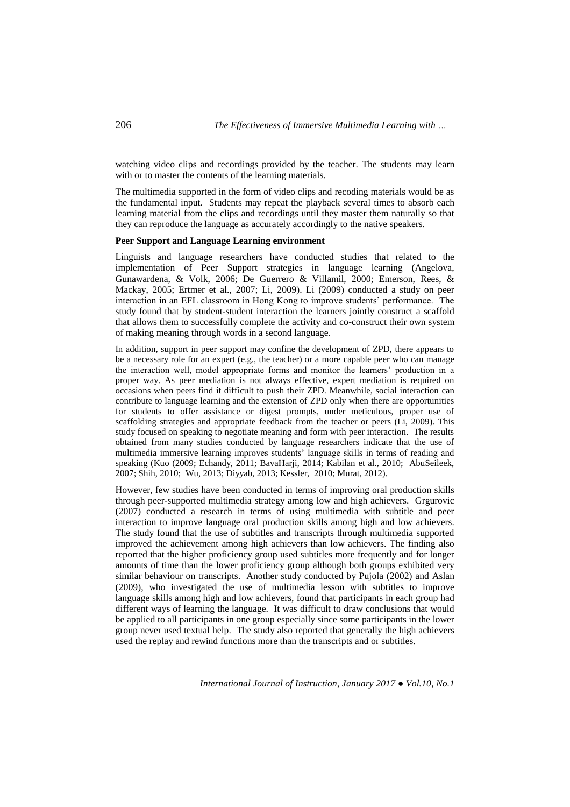watching video clips and recordings provided by the teacher. The students may learn with or to master the contents of the learning materials.

The multimedia supported in the form of video clips and recoding materials would be as the fundamental input. Students may repeat the playback several times to absorb each learning material from the clips and recordings until they master them naturally so that they can reproduce the language as accurately accordingly to the native speakers.

### **Peer Support and Language Learning environment**

Linguists and language researchers have conducted studies that related to the implementation of Peer Support strategies in language learning (Angelova, Gunawardena, & Volk, 2006; De Guerrero & Villamil, 2000; Emerson, Rees, & Mackay, 2005; Ertmer et al., 2007; Li, 2009). Li (2009) conducted a study on peer interaction in an EFL classroom in Hong Kong to improve students' performance. The study found that by student-student interaction the learners jointly construct a scaffold that allows them to successfully complete the activity and co-construct their own system of making meaning through words in a second language.

In addition, support in peer support may confine the development of ZPD, there appears to be a necessary role for an expert (e.g., the teacher) or a more capable peer who can manage the interaction well, model appropriate forms and monitor the learners' production in a proper way. As peer mediation is not always effective, expert mediation is required on occasions when peers find it difficult to push their ZPD. Meanwhile, social interaction can contribute to language learning and the extension of ZPD only when there are opportunities for students to offer assistance or digest prompts, under meticulous, proper use of scaffolding strategies and appropriate feedback from the teacher or peers (Li, 2009). This study focused on speaking to negotiate meaning and form with peer interaction. The results obtained from many studies conducted by language researchers indicate that the use of multimedia immersive learning improves students' language skills in terms of reading and speaking (Kuo (2009; Echandy, 2011; BavaHarji, 2014; Kabilan et al., 2010; AbuSeileek, 2007; Shih, 2010; Wu, 2013; Diyyab, 2013; Kessler, 2010; Murat, 2012).

However, few studies have been conducted in terms of improving oral production skills through peer-supported multimedia strategy among low and high achievers. Grgurovic (2007) conducted a research in terms of using multimedia with subtitle and peer interaction to improve language oral production skills among high and low achievers. The study found that the use of subtitles and transcripts through multimedia supported improved the achievement among high achievers than low achievers. The finding also reported that the higher proficiency group used subtitles more frequently and for longer amounts of time than the lower proficiency group although both groups exhibited very similar behaviour on transcripts. Another study conducted by Pujola (2002) and Aslan (2009), who investigated the use of multimedia lesson with subtitles to improve language skills among high and low achievers, found that participants in each group had different ways of learning the language. It was difficult to draw conclusions that would be applied to all participants in one group especially since some participants in the lower group never used textual help. The study also reported that generally the high achievers used the replay and rewind functions more than the transcripts and or subtitles.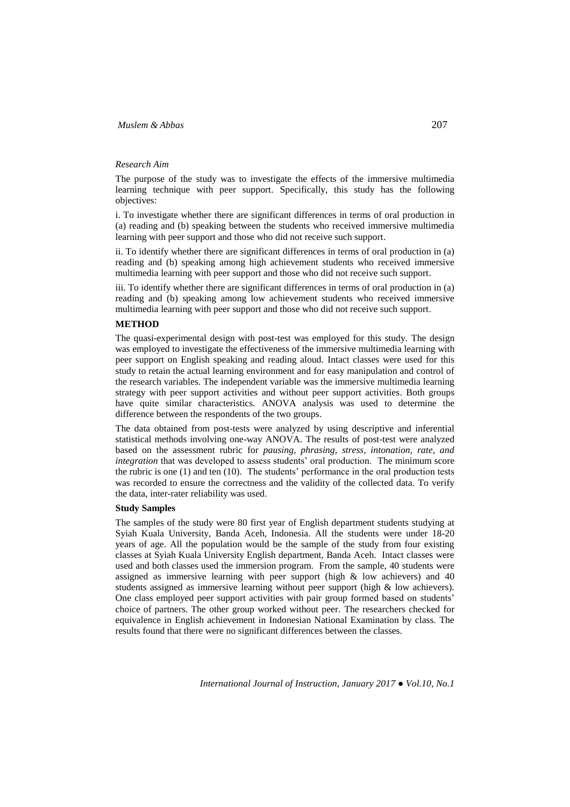### *Research Aim*

The purpose of the study was to investigate the effects of the immersive multimedia learning technique with peer support. Specifically, this study has the following objectives:

i. To investigate whether there are significant differences in terms of oral production in (a) reading and (b) speaking between the students who received immersive multimedia learning with peer support and those who did not receive such support.

ii. To identify whether there are significant differences in terms of oral production in (a) reading and (b) speaking among high achievement students who received immersive multimedia learning with peer support and those who did not receive such support.

iii. To identify whether there are significant differences in terms of oral production in (a) reading and (b) speaking among low achievement students who received immersive multimedia learning with peer support and those who did not receive such support.

### **METHOD**

The quasi-experimental design with post-test was employed for this study. The design was employed to investigate the effectiveness of the immersive multimedia learning with peer support on English speaking and reading aloud. Intact classes were used for this study to retain the actual learning environment and for easy manipulation and control of the research variables. The independent variable was the immersive multimedia learning strategy with peer support activities and without peer support activities. Both groups have quite similar characteristics. ANOVA analysis was used to determine the difference between the respondents of the two groups.

The data obtained from post-tests were analyzed by using descriptive and inferential statistical methods involving one-way ANOVA. The results of post-test were analyzed based on the assessment rubric for *pausing, phrasing, stress, intonation, rate, and integration* that was developed to assess students' oral production. The minimum score the rubric is one (1) and ten (10). The students' performance in the oral production tests was recorded to ensure the correctness and the validity of the collected data. To verify the data, inter-rater reliability was used.

## **Study Samples**

The samples of the study were 80 first year of English department students studying at Syiah Kuala University, Banda Aceh, Indonesia. All the students were under 18-20 years of age. All the population would be the sample of the study from four existing classes at Syiah Kuala University English department, Banda Aceh. Intact classes were used and both classes used the immersion program. From the sample, 40 students were assigned as immersive learning with peer support (high & low achievers) and 40 students assigned as immersive learning without peer support (high & low achievers). One class employed peer support activities with pair group formed based on students' choice of partners. The other group worked without peer. The researchers checked for equivalence in English achievement in Indonesian National Examination by class. The results found that there were no significant differences between the classes.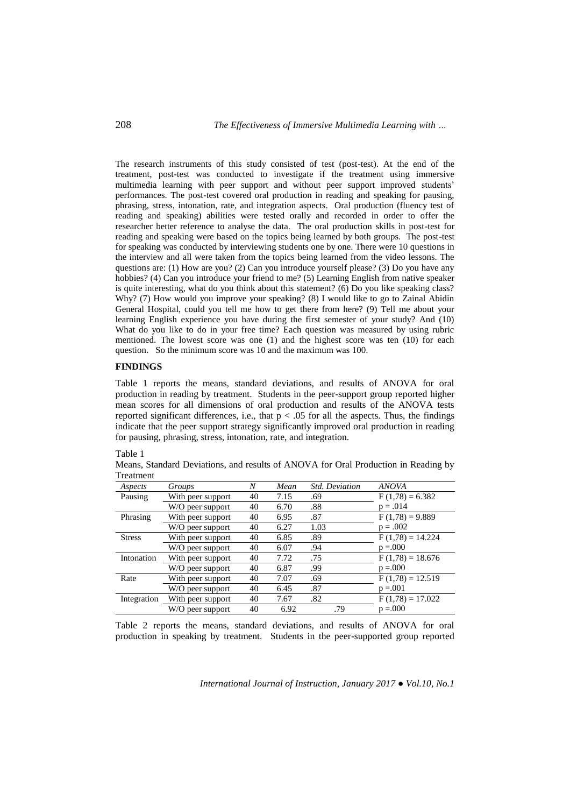The research instruments of this study consisted of test (post-test). At the end of the treatment, post-test was conducted to investigate if the treatment using immersive multimedia learning with peer support and without peer support improved students' performances. The post-test covered oral production in reading and speaking for pausing, phrasing, stress, intonation, rate, and integration aspects. Oral production (fluency test of reading and speaking) abilities were tested orally and recorded in order to offer the researcher better reference to analyse the data. The oral production skills in post-test for reading and speaking were based on the topics being learned by both groups. The post-test for speaking was conducted by interviewing students one by one. There were 10 questions in the interview and all were taken from the topics being learned from the video lessons. The questions are: (1) How are you? (2) Can you introduce yourself please? (3) Do you have any hobbies? (4) Can you introduce your friend to me? (5) Learning English from native speaker is quite interesting, what do you think about this statement? (6) Do you like speaking class? Why? (7) How would you improve your speaking? (8) I would like to go to Zainal Abidin General Hospital, could you tell me how to get there from here? (9) Tell me about your learning English experience you have during the first semester of your study? And (10) What do you like to do in your free time? Each question was measured by using rubric mentioned. The lowest score was one (1) and the highest score was ten (10) for each question. So the minimum score was 10 and the maximum was 100.

### **FINDINGS**

Table 1 reports the means, standard deviations, and results of ANOVA for oral production in reading by treatment. Students in the peer-support group reported higher mean scores for all dimensions of oral production and results of the ANOVA tests reported significant differences, i.e., that  $p < .05$  for all the aspects. Thus, the findings indicate that the peer support strategy significantly improved oral production in reading for pausing, phrasing, stress, intonation, rate, and integration.

| ۰.<br>۰. |  |
|----------|--|
|----------|--|

Means, Standard Deviations, and results of ANOVA for Oral Production in Reading by Treatment

| Aspects       | Groups            | Ν  | Mean | <b>Std.</b> Deviation | <b>ANOVA</b>       |
|---------------|-------------------|----|------|-----------------------|--------------------|
| Pausing       | With peer support | 40 | 7.15 | .69                   | $F(1,78) = 6.382$  |
|               | W/O peer support  | 40 | 6.70 | .88                   | $p = .014$         |
| Phrasing      | With peer support | 40 | 6.95 | .87                   | $F(1,78) = 9.889$  |
|               | W/O peer support  | 40 | 6.27 | 1.03                  | $p = .002$         |
| <b>Stress</b> | With peer support | 40 | 6.85 | .89                   | $F(1,78) = 14.224$ |
|               | W/O peer support  | 40 | 6.07 | .94                   | $p = 0.000$        |
| Intonation    | With peer support | 40 | 7.72 | .75                   | $F(1,78) = 18.676$ |
|               | W/O peer support  | 40 | 6.87 | .99                   | $p = 0.000$        |
| Rate          | With peer support | 40 | 7.07 | .69                   | $F(1,78) = 12.519$ |
|               | W/O peer support  | 40 | 6.45 | .87                   | $p = 0.001$        |
| Integration   | With peer support | 40 | 7.67 | .82                   | $F(1,78) = 17.022$ |
|               | W/O peer support  | 40 | 6.92 | .79                   | $p = 000$          |

Table 2 reports the means, standard deviations, and results of ANOVA for oral production in speaking by treatment. Students in the peer-supported group reported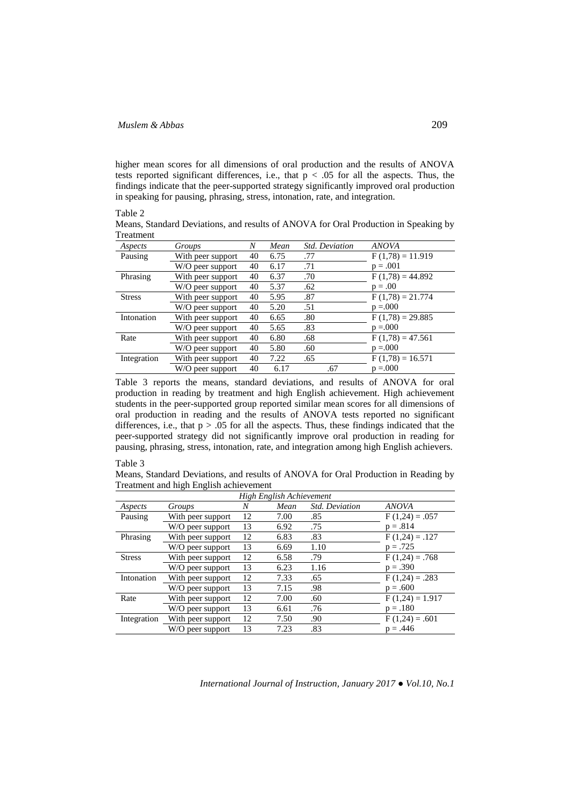higher mean scores for all dimensions of oral production and the results of ANOVA tests reported significant differences, i.e., that  $p < .05$  for all the aspects. Thus, the findings indicate that the peer-supported strategy significantly improved oral production in speaking for pausing, phrasing, stress, intonation, rate, and integration.

#### Table 2

Means, Standard Deviations, and results of ANOVA for Oral Production in Speaking by Treatment

| Aspects       | Groups            | Ν  | Mean | <b>Std.</b> Deviation | <b>ANOVA</b>       |
|---------------|-------------------|----|------|-----------------------|--------------------|
| Pausing       | With peer support | 40 | 6.75 | .77                   | $F(1,78) = 11.919$ |
|               | W/O peer support  | 40 | 6.17 | .71                   | $p = .001$         |
| Phrasing      | With peer support | 40 | 6.37 | .70                   | $F(1,78) = 44.892$ |
|               | W/O peer support  | 40 | 5.37 | .62                   | $p = .00$          |
| <b>Stress</b> | With peer support | 40 | 5.95 | .87                   | $F(1,78) = 21.774$ |
|               | W/O peer support  | 40 | 5.20 | .51                   | $p = 0.000$        |
| Intonation    | With peer support | 40 | 6.65 | .80                   | $F(1,78) = 29.885$ |
|               | W/O peer support  | 40 | 5.65 | .83                   | $p = 0.000$        |
| Rate          | With peer support | 40 | 6.80 | .68                   | $F(1,78) = 47.561$ |
|               | W/O peer support  | 40 | 5.80 | .60                   | $p = 0.000$        |
| Integration   | With peer support | 40 | 7.22 | .65                   | $F(1,78) = 16.571$ |
|               | W/O peer support  | 40 | 6.17 | .67                   | $p = 0.000$        |

Table 3 reports the means, standard deviations, and results of ANOVA for oral production in reading by treatment and high English achievement. High achievement students in the peer-supported group reported similar mean scores for all dimensions of oral production in reading and the results of ANOVA tests reported no significant differences, i.e., that  $p > 0.05$  for all the aspects. Thus, these findings indicated that the peer-supported strategy did not significantly improve oral production in reading for pausing, phrasing, stress, intonation, rate, and integration among high English achievers.

#### Table 3

Means, Standard Deviations, and results of ANOVA for Oral Production in Reading by Treatment and high English achievement

| High English Achievement |                   |    |      |                       |                   |  |  |
|--------------------------|-------------------|----|------|-----------------------|-------------------|--|--|
| Aspects                  | Groups            | N  | Mean | <b>Std.</b> Deviation | <b>ANOVA</b>      |  |  |
| Pausing                  | With peer support | 12 | 7.00 | .85                   | $F(1,24) = .057$  |  |  |
|                          | W/O peer support  | 13 | 6.92 | .75                   | $p = .814$        |  |  |
| Phrasing                 | With peer support | 12 | 6.83 | .83                   | $F(1,24) = .127$  |  |  |
|                          | W/O peer support  | 13 | 6.69 | 1.10                  | $p = .725$        |  |  |
| <b>Stress</b>            | With peer support | 12 | 6.58 | .79                   | $F(1,24) = .768$  |  |  |
|                          | W/O peer support  | 13 | 6.23 | 1.16                  | $p = .390$        |  |  |
| Intonation               | With peer support | 12 | 7.33 | .65                   | $F(1,24) = .283$  |  |  |
|                          | W/O peer support  | 13 | 7.15 | .98                   | $p = .600$        |  |  |
| Rate                     | With peer support | 12 | 7.00 | .60                   | $F(1,24) = 1.917$ |  |  |
|                          | W/O peer support  | 13 | 6.61 | .76                   | $p = .180$        |  |  |
| Integration              | With peer support | 12 | 7.50 | .90                   | $F(1,24) = .601$  |  |  |
|                          | W/O peer support  | 13 | 7.23 | .83                   | $p = .446$        |  |  |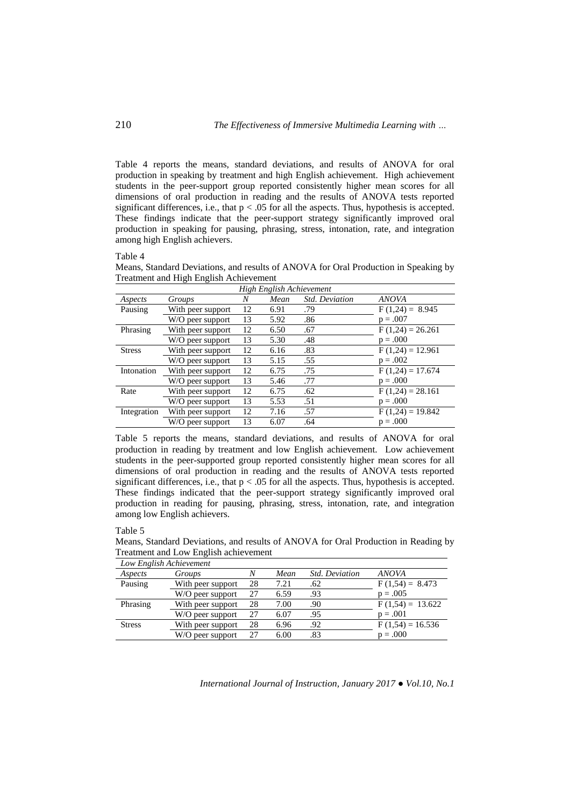Table 4 reports the means, standard deviations, and results of ANOVA for oral production in speaking by treatment and high English achievement. High achievement students in the peer-support group reported consistently higher mean scores for all dimensions of oral production in reading and the results of ANOVA tests reported significant differences, i.e., that  $p < .05$  for all the aspects. Thus, hypothesis is accepted. These findings indicate that the peer-support strategy significantly improved oral production in speaking for pausing, phrasing, stress, intonation, rate, and integration among high English achievers.

### Table 4

Means, Standard Deviations, and results of ANOVA for Oral Production in Speaking by Treatment and High English Achievement

| High English Achievement |                   |    |      |                       |                    |  |  |
|--------------------------|-------------------|----|------|-----------------------|--------------------|--|--|
| Aspects                  | Groups            | N  | Mean | <b>Std.</b> Deviation | <b>ANOVA</b>       |  |  |
| Pausing                  | With peer support | 12 | 6.91 | .79                   | $F(1,24) = 8.945$  |  |  |
|                          | W/O peer support  | 13 | 5.92 | .86                   | $p = .007$         |  |  |
| Phrasing                 | With peer support | 12 | 6.50 | .67                   | $F(1,24) = 26.261$ |  |  |
|                          | W/O peer support  | 13 | 5.30 | .48                   | $p = .000$         |  |  |
| <b>Stress</b>            | With peer support | 12 | 6.16 | .83                   | $F(1,24) = 12.961$ |  |  |
|                          | W/O peer support  | 13 | 5.15 | .55                   | $p = .002$         |  |  |
| Intonation               | With peer support | 12 | 6.75 | .75                   | $F(1,24) = 17.674$ |  |  |
|                          | W/O peer support  | 13 | 5.46 | .77                   | $p = .000$         |  |  |
| Rate                     | With peer support | 12 | 6.75 | .62                   | $F(1,24) = 28.161$ |  |  |
|                          | W/O peer support  | 13 | 5.53 | .51                   | $p = .000$         |  |  |
| Integration              | With peer support | 12 | 7.16 | .57                   | $F(1,24) = 19.842$ |  |  |
|                          | W/O peer support  | 13 | 6.07 | .64                   | $p = .000$         |  |  |

Table 5 reports the means, standard deviations, and results of ANOVA for oral production in reading by treatment and low English achievement. Low achievement students in the peer-supported group reported consistently higher mean scores for all dimensions of oral production in reading and the results of ANOVA tests reported significant differences, i.e., that  $p < .05$  for all the aspects. Thus, hypothesis is accepted. These findings indicated that the peer-support strategy significantly improved oral production in reading for pausing, phrasing, stress, intonation, rate, and integration among low English achievers.

### Table 5

Means, Standard Deviations, and results of ANOVA for Oral Production in Reading by Treatment and Low English achievement

| Low English Achievement |                   |    |      |                       |                    |  |  |
|-------------------------|-------------------|----|------|-----------------------|--------------------|--|--|
| Aspects                 | Groups            | N  | Mean | <b>Std.</b> Deviation | <b>ANOVA</b>       |  |  |
| Pausing                 | With peer support | 28 | 7.21 | .62                   | $F(1,54) = 8.473$  |  |  |
|                         | W/O peer support  | 27 | 6.59 | .93                   | $p = .005$         |  |  |
| Phrasing                | With peer support | 28 | 7.00 | .90                   | $F(1,54) = 13.622$ |  |  |
|                         | W/O peer support  | 27 | 6.07 | .95                   | $p = .001$         |  |  |
| <b>Stress</b>           | With peer support | 28 | 6.96 | .92                   | $F(1,54) = 16.536$ |  |  |
|                         | W/O peer support  |    | 6.00 | .83                   | $p = .000$         |  |  |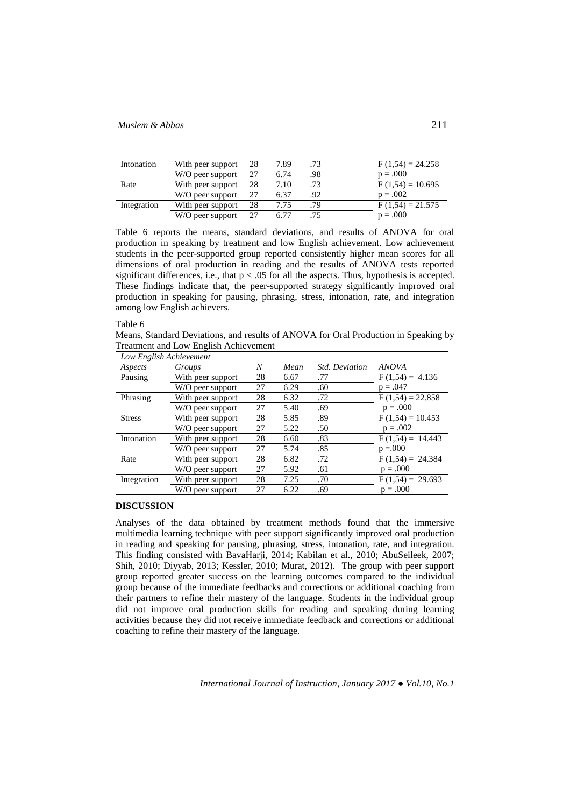| Intonation  | With peer support | 28 | 7.89 |     | $F(1,54) = 24.258$ |
|-------------|-------------------|----|------|-----|--------------------|
|             | W/O peer support  |    | 6.74 | .98 | $p = .000$         |
| Rate        | With peer support | 28 | 7.10 | .73 | $F(1,54) = 10.695$ |
|             | W/O peer support  | 27 | 6.37 | .92 | $p = .002$         |
| Integration | With peer support | 28 | 7.75 | .79 | $F(1,54) = 21.575$ |
|             | W/O peer support  |    | 6.77 |     | $p = .000$         |

Table 6 reports the means, standard deviations, and results of ANOVA for oral production in speaking by treatment and low English achievement. Low achievement students in the peer-supported group reported consistently higher mean scores for all dimensions of oral production in reading and the results of ANOVA tests reported significant differences, i.e., that  $p < .05$  for all the aspects. Thus, hypothesis is accepted. These findings indicate that, the peer-supported strategy significantly improved oral production in speaking for pausing, phrasing, stress, intonation, rate, and integration among low English achievers.

### Table 6

Means, Standard Deviations, and results of ANOVA for Oral Production in Speaking by Treatment and Low English Achievement

| Low English Achievement |                   |    |      |                       |                    |  |  |
|-------------------------|-------------------|----|------|-----------------------|--------------------|--|--|
| Aspects                 | Groups            | N  | Mean | <b>Std.</b> Deviation | <b>ANOVA</b>       |  |  |
| Pausing                 | With peer support | 28 | 6.67 | .77                   | $F(1,54) = 4.136$  |  |  |
|                         | W/O peer support  | 27 | 6.29 | .60                   | $p = .047$         |  |  |
| Phrasing                | With peer support | 28 | 6.32 | .72                   | $F(1,54) = 22.858$ |  |  |
|                         | W/O peer support  | 27 | 5.40 | .69                   | $p = .000$         |  |  |
| <b>Stress</b>           | With peer support | 28 | 5.85 | .89                   | $F(1,54) = 10.453$ |  |  |
|                         | W/O peer support  | 27 | 5.22 | .50                   | $p = .002$         |  |  |
| Intonation              | With peer support | 28 | 6.60 | .83                   | $F(1,54) = 14.443$ |  |  |
|                         | W/O peer support  | 27 | 5.74 | .85                   | $p = 0.000$        |  |  |
| Rate                    | With peer support | 28 | 6.82 | .72                   | $F(1,54) = 24.384$ |  |  |
|                         | W/O peer support  | 27 | 5.92 | .61                   | $p = .000$         |  |  |
| Integration             | With peer support | 28 | 7.25 | .70                   | $F(1,54) = 29.693$ |  |  |
|                         | W/O peer support  | 27 | 6.22 | .69                   | $p = .000$         |  |  |

### **DISCUSSION**

Analyses of the data obtained by treatment methods found that the immersive multimedia learning technique with peer support significantly improved oral production in reading and speaking for pausing, phrasing, stress, intonation, rate, and integration. This finding consisted with BavaHarji, 2014; Kabilan et al., 2010; AbuSeileek, 2007; Shih, 2010; Diyyab, 2013; Kessler, 2010; Murat, 2012). The group with peer support group reported greater success on the learning outcomes compared to the individual group because of the immediate feedbacks and corrections or additional coaching from their partners to refine their mastery of the language. Students in the individual group did not improve oral production skills for reading and speaking during learning activities because they did not receive immediate feedback and corrections or additional coaching to refine their mastery of the language.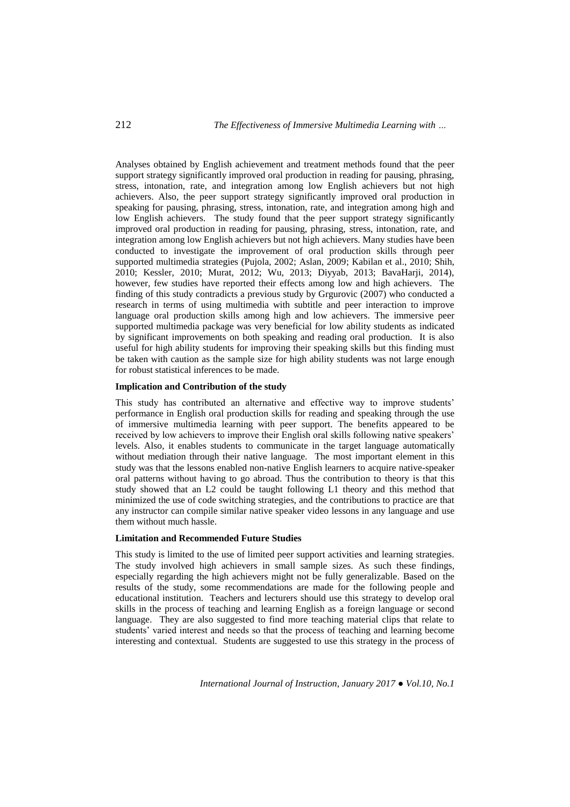Analyses obtained by English achievement and treatment methods found that the peer support strategy significantly improved oral production in reading for pausing, phrasing, stress, intonation, rate, and integration among low English achievers but not high achievers. Also, the peer support strategy significantly improved oral production in speaking for pausing, phrasing, stress, intonation, rate, and integration among high and low English achievers. The study found that the peer support strategy significantly improved oral production in reading for pausing, phrasing, stress, intonation, rate, and integration among low English achievers but not high achievers. Many studies have been conducted to investigate the improvement of oral production skills through peer supported multimedia strategies (Pujola, 2002; Aslan, 2009; Kabilan et al., 2010; Shih, 2010; Kessler, 2010; Murat, 2012; Wu, 2013; Diyyab, 2013; BavaHarji, 2014), however, few studies have reported their effects among low and high achievers. The finding of this study contradicts a previous study by Grgurovic (2007) who conducted a research in terms of using multimedia with subtitle and peer interaction to improve language oral production skills among high and low achievers. The immersive peer supported multimedia package was very beneficial for low ability students as indicated by significant improvements on both speaking and reading oral production. It is also useful for high ability students for improving their speaking skills but this finding must be taken with caution as the sample size for high ability students was not large enough for robust statistical inferences to be made.

### **Implication and Contribution of the study**

This study has contributed an alternative and effective way to improve students' performance in English oral production skills for reading and speaking through the use of immersive multimedia learning with peer support. The benefits appeared to be received by low achievers to improve their English oral skills following native speakers' levels. Also, it enables students to communicate in the target language automatically without mediation through their native language. The most important element in this study was that the lessons enabled non-native English learners to acquire native-speaker oral patterns without having to go abroad. Thus the contribution to theory is that this study showed that an L2 could be taught following L1 theory and this method that minimized the use of code switching strategies, and the contributions to practice are that any instructor can compile similar native speaker video lessons in any language and use them without much hassle.

## **Limitation and Recommended Future Studies**

This study is limited to the use of limited peer support activities and learning strategies. The study involved high achievers in small sample sizes. As such these findings, especially regarding the high achievers might not be fully generalizable. Based on the results of the study, some recommendations are made for the following people and educational institution. Teachers and lecturers should use this strategy to develop oral skills in the process of teaching and learning English as a foreign language or second language. They are also suggested to find more teaching material clips that relate to students' varied interest and needs so that the process of teaching and learning become interesting and contextual. Students are suggested to use this strategy in the process of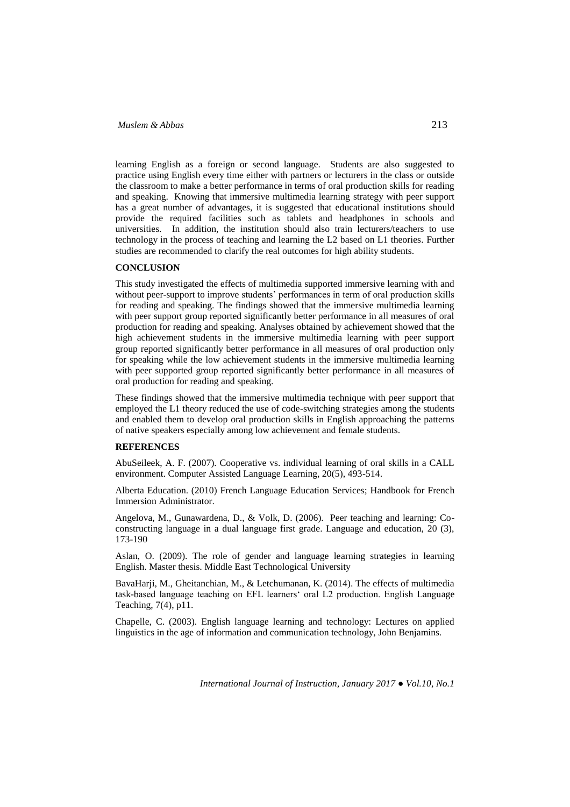learning English as a foreign or second language. Students are also suggested to practice using English every time either with partners or lecturers in the class or outside the classroom to make a better performance in terms of oral production skills for reading and speaking. Knowing that immersive multimedia learning strategy with peer support has a great number of advantages, it is suggested that educational institutions should provide the required facilities such as tablets and headphones in schools and universities. In addition, the institution should also train lecturers/teachers to use technology in the process of teaching and learning the L2 based on L1 theories. Further studies are recommended to clarify the real outcomes for high ability students.

### **CONCLUSION**

This study investigated the effects of multimedia supported immersive learning with and without peer-support to improve students' performances in term of oral production skills for reading and speaking. The findings showed that the immersive multimedia learning with peer support group reported significantly better performance in all measures of oral production for reading and speaking. Analyses obtained by achievement showed that the high achievement students in the immersive multimedia learning with peer support group reported significantly better performance in all measures of oral production only for speaking while the low achievement students in the immersive multimedia learning with peer supported group reported significantly better performance in all measures of oral production for reading and speaking.

These findings showed that the immersive multimedia technique with peer support that employed the L1 theory reduced the use of code-switching strategies among the students and enabled them to develop oral production skills in English approaching the patterns of native speakers especially among low achievement and female students.

## **REFERENCES**

AbuSeileek, A. F. (2007). Cooperative vs. individual learning of oral skills in a CALL environment. Computer Assisted Language Learning, 20(5), 493-514.

Alberta Education. (2010) French Language Education Services; Handbook for French Immersion Administrator.

Angelova, M., Gunawardena, D., & Volk, D. (2006). Peer teaching and learning: Coconstructing language in a dual language first grade. Language and education, 20 (3), 173-190

Aslan, O. (2009). The role of gender and language learning strategies in learning English. Master thesis. Middle East Technological University

BavaHarji, M., Gheitanchian, M., & Letchumanan, K. (2014). The effects of multimedia task-based language teaching on EFL learners' oral L2 production. English Language Teaching, 7(4), p11.

Chapelle, C. (2003). English language learning and technology: Lectures on applied linguistics in the age of information and communication technology, John Benjamins.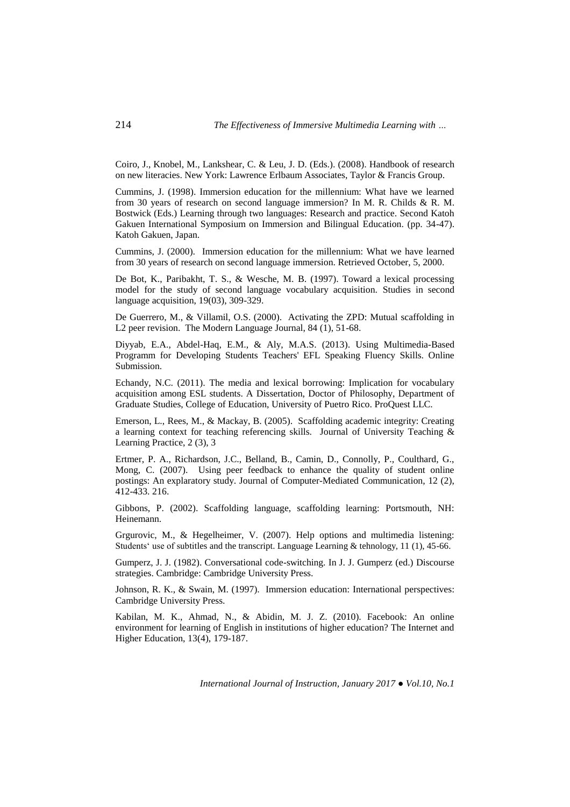Coiro, J., Knobel, M., Lankshear, C. & Leu, J. D. (Eds.). (2008). Handbook of research on new literacies. New York: Lawrence Erlbaum Associates, Taylor & Francis Group.

Cummins, J. (1998). Immersion education for the millennium: What have we learned from 30 years of research on second language immersion? In M. R. Childs & R. M. Bostwick (Eds.) Learning through two languages: Research and practice. Second Katoh Gakuen International Symposium on Immersion and Bilingual Education. (pp. 34-47). Katoh Gakuen, Japan.

Cummins, J. (2000). Immersion education for the millennium: What we have learned from 30 years of research on second language immersion. Retrieved October, 5, 2000.

De Bot, K., Paribakht, T. S., & Wesche, M. B. (1997). Toward a lexical processing model for the study of second language vocabulary acquisition. Studies in second language acquisition, 19(03), 309-329.

De Guerrero, M., & Villamil, O.S. (2000). Activating the ZPD: Mutual scaffolding in L2 peer revision. The Modern Language Journal, 84 (1), 51-68.

Diyyab, E.A., Abdel-Haq, E.M., & Aly, M.A.S. (2013). Using Multimedia-Based Programm for Developing Students Teachers' EFL Speaking Fluency Skills. Online Submission.

Echandy, N.C. (2011). The media and lexical borrowing: Implication for vocabulary acquisition among ESL students. A Dissertation, Doctor of Philosophy, Department of Graduate Studies, College of Education, University of Puetro Rico. ProQuest LLC.

Emerson, L., Rees, M., & Mackay, B. (2005). Scaffolding academic integrity: Creating a learning context for teaching referencing skills. Journal of University Teaching & Learning Practice, 2 (3), 3

Ertmer, P. A., Richardson, J.C., Belland, B., Camin, D., Connolly, P., Coulthard, G., Mong, C. (2007). Using peer feedback to enhance the quality of student online postings: An explaratory study. Journal of Computer-Mediated Communication, 12 (2), 412-433. 216.

Gibbons, P. (2002). Scaffolding language, scaffolding learning: Portsmouth, NH: Heinemann.

Grgurovic, M., & Hegelheimer, V. (2007). Help options and multimedia listening: Students' use of subtitles and the transcript. Language Learning & tehnology, 11 (1), 45-66.

Gumperz, J. J. (1982). Conversational code-switching. In J. J. Gumperz (ed.) Discourse strategies. Cambridge: Cambridge University Press.

Johnson, R. K., & Swain, M. (1997). Immersion education: International perspectives: Cambridge University Press.

Kabilan, M. K., Ahmad, N., & Abidin, M. J. Z. (2010). Facebook: An online environment for learning of English in institutions of higher education? The Internet and Higher Education, 13(4), 179-187.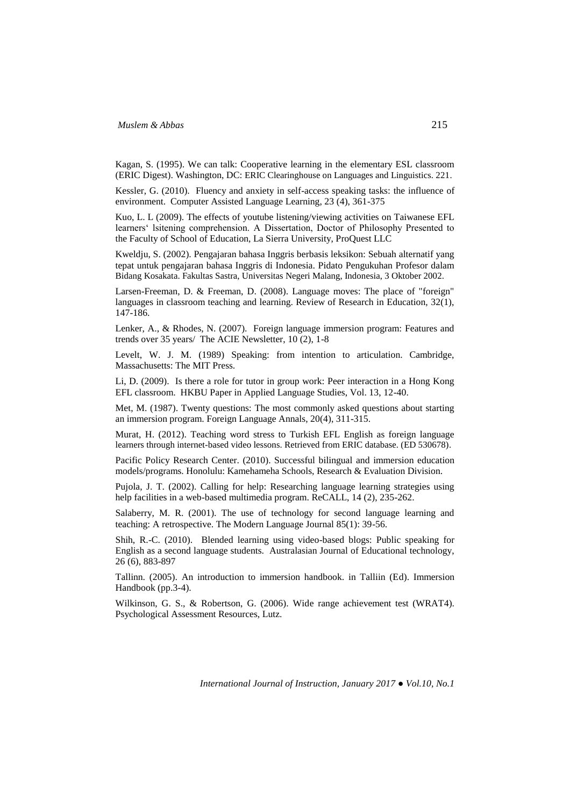Kagan, S. (1995). We can talk: Cooperative learning in the elementary ESL classroom (ERIC Digest). Washington, DC: ERIC Clearinghouse on Languages and Linguistics. 221.

Kessler, G. (2010). Fluency and anxiety in self-access speaking tasks: the influence of environment. Computer Assisted Language Learning, 23 (4), 361-375

Kuo, L. L (2009). The effects of youtube listening/viewing activities on Taiwanese EFL learners' lsitening comprehension. A Dissertation, Doctor of Philosophy Presented to the Faculty of School of Education, La Sierra University, ProQuest LLC

Kweldju, S. (2002). Pengajaran bahasa Inggris berbasis leksikon: Sebuah alternatif yang tepat untuk pengajaran bahasa Inggris di Indonesia. Pidato Pengukuhan Profesor dalam Bidang Kosakata. Fakultas Sastra, Universitas Negeri Malang, Indonesia, 3 Oktober 2002.

Larsen-Freeman, D. & Freeman, D. (2008). Language moves: The place of "foreign" languages in classroom teaching and learning. Review of Research in Education, 32(1), 147-186.

Lenker, A., & Rhodes, N. (2007). Foreign language immersion program: Features and trends over 35 years/ The ACIE Newsletter, 10 (2), 1-8

Levelt, W. J. M. (1989) Speaking: from intention to articulation. Cambridge, Massachusetts: The MIT Press.

Li, D. (2009). Is there a role for tutor in group work: Peer interaction in a Hong Kong EFL classroom. HKBU Paper in Applied Language Studies, Vol. 13, 12-40.

Met, M. (1987). Twenty questions: The most commonly asked questions about starting an immersion program. Foreign Language Annals, 20(4), 311-315.

Murat, H. (2012). Teaching word stress to Turkish EFL English as foreign language learners through internet-based video lessons. Retrieved from ERIC database. (ED 530678).

Pacific Policy Research Center. (2010). Successful bilingual and immersion education models/programs. Honolulu: Kamehameha Schools, Research & Evaluation Division.

Pujola, J. T. (2002). Calling for help: Researching language learning strategies using help facilities in a web-based multimedia program. ReCALL, 14 (2), 235-262.

Salaberry, M. R. (2001). The use of technology for second language learning and teaching: A retrospective. The Modern Language Journal 85(1): 39-56.

Shih, R.-C. (2010). Blended learning using video-based blogs: Public speaking for English as a second language students. Australasian Journal of Educational technology, 26 (6), 883-897

Tallinn. (2005). An introduction to immersion handbook. in Talliin (Ed). Immersion Handbook (pp.3-4).

Wilkinson, G. S., & Robertson, G. (2006). Wide range achievement test (WRAT4). Psychological Assessment Resources, Lutz.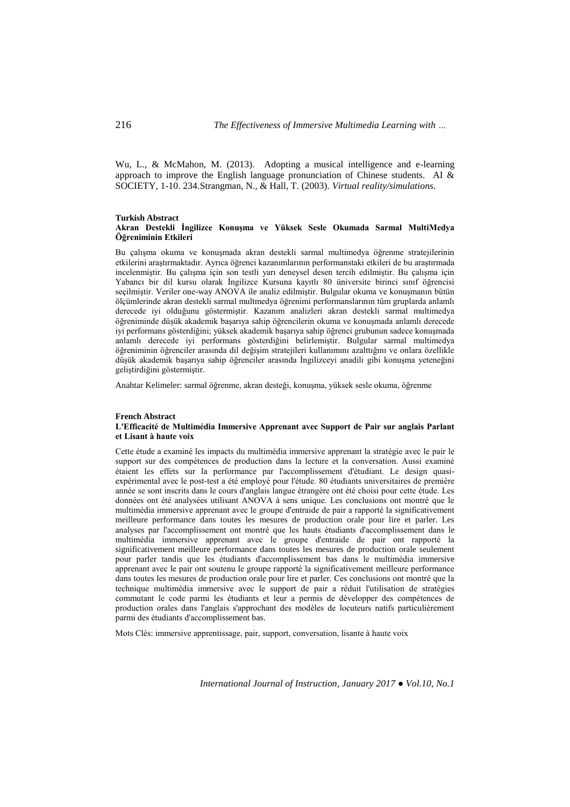Wu, L., & McMahon, M. (2013). Adopting a musical intelligence and e-learning approach to improve the English language pronunciation of Chinese students. AI  $\&$ SOCIETY, 1-10. 234.Strangman, N., & Hall, T. (2003). *Virtual reality/simulations.*

#### **Turkish Abstract Akran Destekli İngilizce Konuşma ve Yüksek Sesle Okumada Sarmal MultiMedya Öğreniminin Etkileri**

Bu çalışma okuma ve konuşmada akran destekli sarmal multimedya öğrenme stratejilerinin etkilerini araştırmaktadır. Ayrıca öğrenci kazanımlarının performanstaki etkileri de bu araştırmada incelenmiştir. Bu çalışma için son testli yarı deneysel desen tercih edilmiştir. Bu çalışma için Yabancı bir dil kursu olarak İngilizce Kursuna kayıtlı 80 üniversite birinci sınıf öğrencisi seçilmiştir. Veriler one-way ANOVA ile analiz edilmiştir. Bulgular okuma ve konuşmanın bütün ölçümlerinde akran destekli sarmal multmedya öğrenimi performanslarının tüm gruplarda anlamlı derecede iyi olduğunu göstermiştir. Kazanım analizleri akran destekli sarmal multimedya öğreniminde düşük akademik başarıya sahip öğrencilerin okuma ve konuşmada anlamlı derecede iyi performans gösterdiğini; yüksek akademik başarıya sahip öğrenci grubunun sadece konuşmada anlamlı derecede iyi performans gösterdiğini belirlemiştir. Bulgular sarmal multimedya öğreniminin öğrenciler arasında dil değişim stratejileri kullanımını azalttığını ve onlara özellikle düşük akademik başarıya sahip öğrenciler arasında İngilizceyi anadili gibi konuşma yeteneğini geliştirdiğini göstermiştir.

Anahtar Kelimeler: sarmal öğrenme, akran desteği, konuşma, yüksek sesle okuma, öğrenme

#### **French Abstract L'Efficacité de Multimédia Immersive Apprenant avec Support de Pair sur anglais Parlant et Lisant à haute voix**

Cette étude a examiné les impacts du multimédia immersive apprenant la stratégie avec le pair le support sur des compétences de production dans la lecture et la conversation. Aussi examiné étaient les effets sur la performance par l'accomplissement d'étudiant. Le design quasiexpérimental avec le post-test a été employé pour l'étude. 80 étudiants universitaires de première année se sont inscrits dans le cours d'anglais langue étrangère ont été choisi pour cette étude. Les données ont été analysées utilisant ANOVA à sens unique. Les conclusions ont montré que le multimédia immersive apprenant avec le groupe d'entraide de pair a rapporté la significativement meilleure performance dans toutes les mesures de production orale pour lire et parler. Les analyses par l'accomplissement ont montré que les hauts étudiants d'accomplissement dans le multimédia immersive apprenant avec le groupe d'entraide de pair ont rapporté la significativement meilleure performance dans toutes les mesures de production orale seulement pour parler tandis que les étudiants d'accomplissement bas dans le multimédia immersive apprenant avec le pair ont soutenu le groupe rapporté la significativement meilleure performance dans toutes les mesures de production orale pour lire et parler. Ces conclusions ont montré que la technique multimédia immersive avec le support de pair a réduit l'utilisation de stratégies commutant le code parmi les étudiants et leur a permis de développer des compétences de production orales dans l'anglais s'approchant des modèles de locuteurs natifs particulièrement parmi des étudiants d'accomplissement bas.

Mots Clés: immersive apprentissage, pair, support, conversation, lisante à haute voix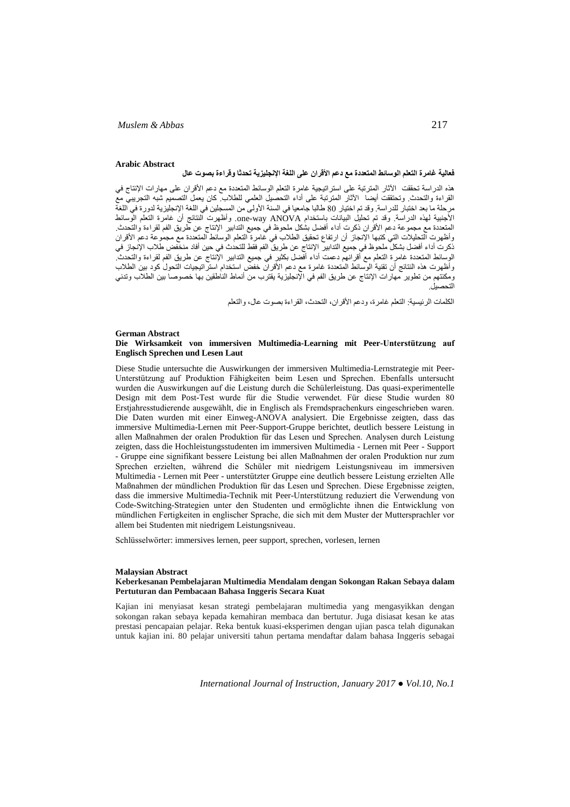#### **Arabic Abstract**

## **فعالية غامرة التعلم الوسائط المتعددة مع دعم األقران على اللغة اإلنجليزية تحدثا وقراءة بصوت عال**

هذه الدراسة تحققت اآلثار المترتبة على استراتيجية غامرة التعلم الوسائط المتعددة مع دعم األقران على مهارات اإلنتاج في القراءة والتحدث. وتحتققت أيضا اآلثار المترتبة على أداء التحصيل العلمي للطالب. كان يعمل التصميم شبه التجريبي مع مرحلة ما بعد اختبار للدراسة. وقد تم اختيار 80 طالبا جامعيا في السنة الأولى من المسجلين في اللغة الإنجليزية لدورة في اللغة األجنبية لهذه الدراسة. وقد تم تحليل البيانات باستخدام ANOVA way-one. وأظهرت النتائج أن غامرة التعلم الوسائط المتعددة مع مجموعة دعم األقران ذكرت أداء أفضل بشكل ملحوظ في جميع التدابير اإلنتاج عن طريق الفم لقراءة والتحدث. وأظهرت التحليالت التي كتبها اإلنجاز أن ارتفاع تحقيق الطالب في غامرة التعلم الوسائط المتعددة مع مجموعة دعم األقران ذكرت أداء أفضل بشكل ملحوظ في جميع التدابير اإلنتاج عن طريق الفم فقط للتحدث في حين أفاد منخفض طالب اإلنجاز في الوسائط المتعددة غامرة التعلم مع أقرانهم دعمت أداء أفضل بكثير في جميع التدابير اإلنتاج عن طريق الفم لقراءة والتحدث. وأظهرت هذه النتائج أن تقنية الوسائط المتعددة غامرة مع دعم األقران خفض استخدام استراتيجيات التحول كود بين الطالب ومكنتهم من تطوير مهارات اإلنتاج عن طريق الفم في اإلنجليزية يقترب من أنماط الناطقين بها خصوصا بين الطالب وتدني التحصيل.

الكلمات الرئيسية: التعلم غامرة، ودعم األقران، التحدث، القراءة بصوت عال، والتعلم

### **German Abstract Die Wirksamkeit von immersiven Multimedia-Learning mit Peer-Unterstützung auf Englisch Sprechen und Lesen Laut**

Diese Studie untersuchte die Auswirkungen der immersiven Multimedia-Lernstrategie mit Peer-Unterstützung auf Produktion Fähigkeiten beim Lesen und Sprechen. Ebenfalls untersucht wurden die Auswirkungen auf die Leistung durch die Schülerleistung. Das quasi-experimentelle Design mit dem Post-Test wurde für die Studie verwendet. Für diese Studie wurden 80 Erstjahresstudierende ausgewählt, die in Englisch als Fremdsprachenkurs eingeschrieben waren. Die Daten wurden mit einer Einweg-ANOVA analysiert. Die Ergebnisse zeigten, dass das immersive Multimedia-Lernen mit Peer-Support-Gruppe berichtet, deutlich bessere Leistung in allen Maßnahmen der oralen Produktion für das Lesen und Sprechen. Analysen durch Leistung zeigten, dass die Hochleistungsstudenten im immersiven Multimedia - Lernen mit Peer - Support - Gruppe eine signifikant bessere Leistung bei allen Maßnahmen der oralen Produktion nur zum Sprechen erzielten, während die Schüler mit niedrigem Leistungsniveau im immersiven Multimedia - Lernen mit Peer - unterstützter Gruppe eine deutlich bessere Leistung erzielten Alle Maßnahmen der mündlichen Produktion für das Lesen und Sprechen. Diese Ergebnisse zeigten, dass die immersive Multimedia-Technik mit Peer-Unterstützung reduziert die Verwendung von Code-Switching-Strategien unter den Studenten und ermöglichte ihnen die Entwicklung von mündlichen Fertigkeiten in englischer Sprache, die sich mit dem Muster der Muttersprachler vor allem bei Studenten mit niedrigem Leistungsniveau.

Schlüsselwörter: immersives lernen, peer support, sprechen, vorlesen, lernen

#### **Malaysian Abstract**

#### **Keberkesanan Pembelajaran Multimedia Mendalam dengan Sokongan Rakan Sebaya dalam Pertuturan dan Pembacaan Bahasa Inggeris Secara Kuat**

Kajian ini menyiasat kesan strategi pembelajaran multimedia yang mengasyikkan dengan sokongan rakan sebaya kepada kemahiran membaca dan bertutur. Juga disiasat kesan ke atas prestasi pencapaian pelajar. Reka bentuk kuasi-eksperimen dengan ujian pasca telah digunakan untuk kajian ini. 80 pelajar universiti tahun pertama mendaftar dalam bahasa Inggeris sebagai